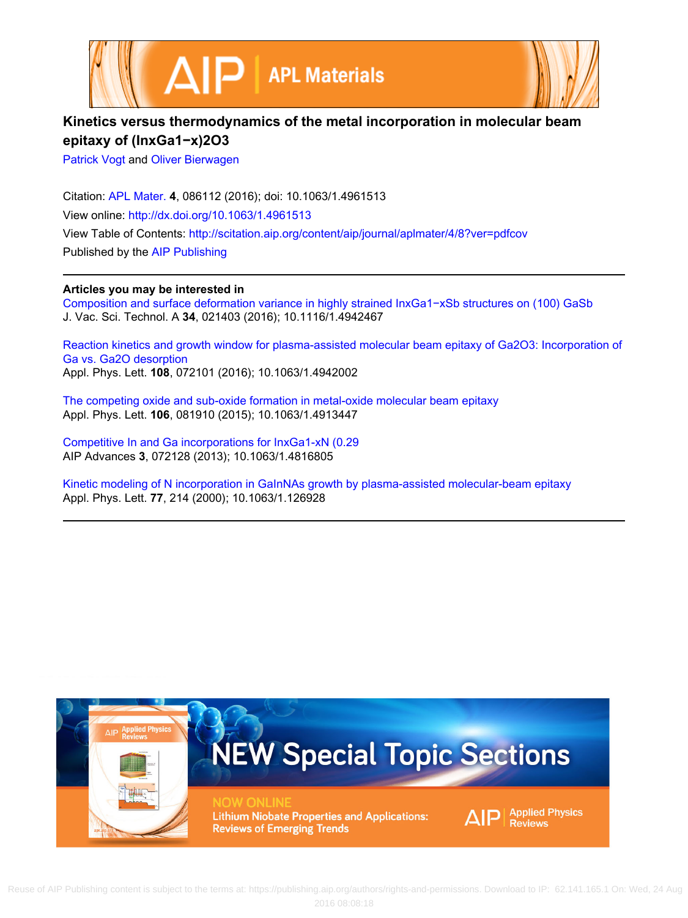



## **Kinetics versus thermodynamics of the metal incorporation in molecular beam epitaxy of (InxGa1−x)2O3**

[Patrick Vogt](http://scitation.aip.org/search?value1=Patrick+Vogt&option1=author) and [Oliver Bierwagen](http://scitation.aip.org/search?value1=Oliver+Bierwagen&option1=author)

Citation: [APL Mater.](http://scitation.aip.org/content/aip/journal/aplmater?ver=pdfcov) **4**, 086112 (2016); doi: 10.1063/1.4961513 View online: <http://dx.doi.org/10.1063/1.4961513> View Table of Contents:<http://scitation.aip.org/content/aip/journal/aplmater/4/8?ver=pdfcov> Published by the [AIP Publishing](http://scitation.aip.org/content/aip?ver=pdfcov)

**Articles you may be interested in**

[Composition and surface deformation variance in highly strained InxGa1−xSb structures on \(100\) GaSb](http://scitation.aip.org/content/avs/journal/jvsta/34/2/10.1116/1.4942467?ver=pdfcov) J. Vac. Sci. Technol. A **34**, 021403 (2016); 10.1116/1.4942467

[Reaction kinetics and growth window for plasma-assisted molecular beam epitaxy of Ga2O3: Incorporation of](http://scitation.aip.org/content/aip/journal/apl/108/7/10.1063/1.4942002?ver=pdfcov) [Ga vs. Ga2O desorption](http://scitation.aip.org/content/aip/journal/apl/108/7/10.1063/1.4942002?ver=pdfcov) Appl. Phys. Lett. **108**, 072101 (2016); 10.1063/1.4942002

[The competing oxide and sub-oxide formation in metal-oxide molecular beam epitaxy](http://scitation.aip.org/content/aip/journal/apl/106/8/10.1063/1.4913447?ver=pdfcov) Appl. Phys. Lett. **106**, 081910 (2015); 10.1063/1.4913447

[Competitive In and Ga incorporations for InxGa1-xN \(0.29](http://scitation.aip.org/content/aip/journal/adva/3/7/10.1063/1.4816805?ver=pdfcov) AIP Advances **3**, 072128 (2013); 10.1063/1.4816805

[Kinetic modeling of N incorporation in GaInNAs growth by plasma-assisted molecular-beam epitaxy](http://scitation.aip.org/content/aip/journal/apl/77/2/10.1063/1.126928?ver=pdfcov) Appl. Phys. Lett. **77**, 214 (2000); 10.1063/1.126928

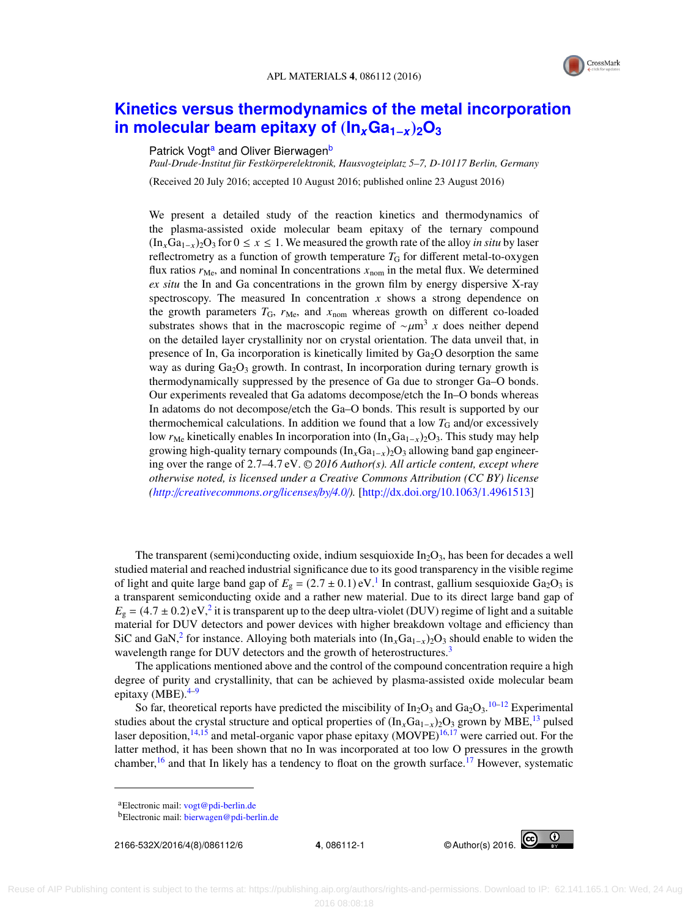

## **[Kinetics versus thermodynamics of the metal incorporation](http://dx.doi.org/10.1063/1.4961513) [in molecular beam epitaxy of](http://dx.doi.org/10.1063/1.4961513)** (**In***x***Ga1**−*x*)**2O<sup>3</sup>**

## P[a](#page-1-0)trick Vogt<sup>a</sup> and Oliver Bierwagen<sup>[b](#page-1-1)</sup>

*Paul-Drude-Institut für Festkörperelektronik, Hausvogteiplatz 5–7, D-10117 Berlin, Germany*

(Received 20 July 2016; accepted 10 August 2016; published online 23 August 2016)

We present a detailed study of the reaction kinetics and thermodynamics of the plasma-assisted oxide molecular beam epitaxy of the ternary compound (InxGa1−x)2O<sup>3</sup> for 0 ≤ *x* ≤ 1. We measured the growth rate of the alloy *in situ* by laser reflectrometry as a function of growth temperature  $T_G$  for different metal-to-oxygen flux ratios  $r_{\text{Me}}$ , and nominal In concentrations  $x_{\text{nom}}$  in the metal flux. We determined *ex situ* the In and Ga concentrations in the grown film by energy dispersive X-ray spectroscopy. The measured In concentration  $x$  shows a strong dependence on the growth parameters  $T_G$ ,  $r_{Me}$ , and  $x_{nom}$  whereas growth on different co-loaded substrates shows that in the macroscopic regime of  $\sim \mu m^3 x$  does neither depend<br>on the detailed layer crystallinity nor on crystal orientation. The data unveil that in on the detailed layer crystallinity nor on crystal orientation. The data unveil that, in presence of In, Ga incorporation is kinetically limited by  $Ga<sub>2</sub>O$  desorption the same way as during  $Ga<sub>2</sub>O<sub>3</sub>$  growth. In contrast, In incorporation during ternary growth is thermodynamically suppressed by the presence of Ga due to stronger Ga–O bonds. Our experiments revealed that Ga adatoms decompose/etch the In–O bonds whereas In adatoms do not decompose/etch the Ga–O bonds. This result is supported by our thermochemical calculations. In addition we found that a low  $T_G$  and/or excessively low  $r_{\text{Me}}$  kinetically enables In incorporation into (In<sub>x</sub>Ga<sub>1-x</sub>)<sub>2</sub>O<sub>3</sub>. This study may help growing high-quality ternary compounds  $(In_xGa_{1-x})_2O_3$  allowing band gap engineering over the range of 2.7–4.7 eV. <sup>C</sup> *2016 Author(s). All article content, except where otherwise noted, is licensed under a Creative Commons Attribution (CC BY) license [\(http:](http://creativecommons.org/licenses/by/4.0/)*[//](http://creativecommons.org/licenses/by/4.0/)*[creativecommons.org](http://creativecommons.org/licenses/by/4.0/)*[/](http://creativecommons.org/licenses/by/4.0/)*[licenses](http://creativecommons.org/licenses/by/4.0/)*[/](http://creativecommons.org/licenses/by/4.0/)*[by](http://creativecommons.org/licenses/by/4.0/)*[/](http://creativecommons.org/licenses/by/4.0/)*[4.0](http://creativecommons.org/licenses/by/4.0/)*[/](http://creativecommons.org/licenses/by/4.0/)*).* [\[http:](http://dx.doi.org/10.1063/1.4961513)//[dx.doi.org](http://dx.doi.org/10.1063/1.4961513)/[10.1063](http://dx.doi.org/10.1063/1.4961513)/[1.4961513\]](http://dx.doi.org/10.1063/1.4961513)

The transparent (semi)conducting oxide, indium sesquioxide  $In_2O_3$ , has been for decades a well studied material and reached industrial significance due to its good transparency in the visible regime of light and quite large band gap of  $E_g = (2.7 \pm 0.1) \text{ eV}$  $E_g = (2.7 \pm 0.1) \text{ eV}$  $E_g = (2.7 \pm 0.1) \text{ eV}$ .<sup>1</sup> In contrast, gallium sesquioxide Ga<sub>2</sub>O<sub>3</sub> is a transparent semiconducting oxide and a rather new material. Due to its direct large band gap of  $E_g = (4.7 \pm 0.2) \text{ eV}^2$  $E_g = (4.7 \pm 0.2) \text{ eV}^2$  $E_g = (4.7 \pm 0.2) \text{ eV}^2$  it is transparent up to the deep ultra-violet (DUV) regime of light and a suitable<br>material for DUV detectors and power devices with higher breakdown voltage and efficiency than material for DUV detectors and power devices with higher breakdown voltage and efficiency than SiC and GaN,<sup>[2](#page-6-1)</sup> for instance. Alloying both materials into  $(In_xGa_{1-x})_2O_3$  should enable to widen the wavelength range for DUV detectors and the growth of heterostructures.<sup>[3](#page-6-2)</sup>

The applications mentioned above and the control of the compound concentration require a high degree of purity and crystallinity, that can be achieved by plasma-assisted oxide molecular beam epitaxy (MBE). $4-9$  $4-9$ 

So far, theoretical reports have predicted the miscibility of  $In_2O_3$  and  $Ga_2O_3$ . <sup>[10](#page-6-5)[–12](#page-6-6)</sup> Experimental studies about the crystal structure and optical properties of  $(\text{In}_x\text{Ga}_{1-x})_2\text{O}_3$  grown by MBE,<sup>[13](#page-6-7)</sup> pulsed laser deposition,  $14,15$  $14,15$  and metal-organic vapor phase epitaxy (MOVPE) $16,17$  $16,17$  were carried out. For the latter method, it has been shown that no In was incorporated at too low O pressures in the growth chamber,<sup>[16](#page-6-10)</sup> and that In likely has a tendency to float on the growth surface.<sup>[17](#page-6-11)</sup> However, systematic

2166-532X/2016/4(8)/086112/6 **4**, 086112-1 © Author(s) 2016.



<span id="page-1-0"></span><sup>a</sup>Electronic mail: [vogt@pdi-berlin.de](mailto:vogt@pdi-berlin.de)

<span id="page-1-1"></span><sup>b</sup>Electronic mail: [bierwagen@pdi-berlin.de](mailto:bierwagen@pdi-berlin.de)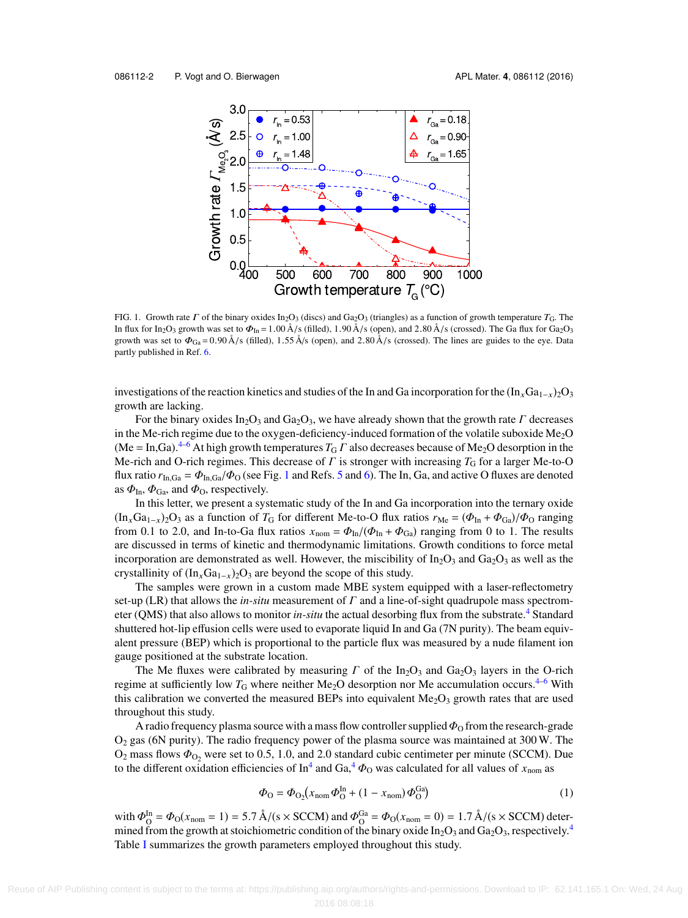<span id="page-2-0"></span>

FIG. 1. Growth rate  $\Gamma$  of the binary oxides In<sub>2</sub>O<sub>3</sub> (discs) and Ga<sub>2</sub>O<sub>3</sub> (triangles) as a function of growth temperature  $T_G$ . The In flux for In<sub>2</sub>O<sub>3</sub> growth was set to  $\Phi_{In} = 1.00 \text{ Å/s}$  (filled), 1.90 Å/s (open), and 2.80 Å/s (crossed). The Ga flux for Ga<sub>2</sub>O<sub>3</sub> growth was set to  $\Phi_{Ga} = 0.90 \text{ Å/s}$  (filled), 1.55 Å/s (open), and 2.80 Å/s (crossed). The lines are guides to the eye. Data partly published in Ref. [6.](#page-6-12)

investigations of the reaction kinetics and studies of the In and Ga incorporation for the (In<sub>x</sub>Ga<sub>1−x</sub>)<sub>2</sub>O<sub>3</sub> growth are lacking.

For the binary oxides In<sub>2</sub>O<sub>3</sub> and Ga<sub>2</sub>O<sub>3</sub>, we have already shown that the growth rate  $\Gamma$  decreases in the Me-rich regime due to the oxygen-deficiency-induced formation of the volatile suboxide Me<sub>2</sub>O  $(Me = In, Ga).<sup>4-6</sup>$  $(Me = In, Ga).<sup>4-6</sup>$  $(Me = In, Ga).<sup>4-6</sup>$  At high growth temperatures  $T_G \Gamma$  also decreases because of Me<sub>2</sub>O desorption in the Me-rich and O-rich regimes. This decrease of  $\Gamma$  is stronger with increasing  $T_G$  for a larger Me-to-O flux ratio  $r_{In,Ga} = \Phi_{In,Ga}/\Phi_{O}$  (see Fig. [1](#page-2-0) and Refs. [5](#page-6-13) and [6\)](#page-6-12). The In, Ga, and active O fluxes are denoted as  $\Phi_{\text{In}}$ ,  $\Phi_{\text{Ga}}$ , and  $\Phi_{\text{O}}$ , respectively.

In this letter, we present a systematic study of the In and Ga incorporation into the ternary oxide  $(\text{In}_{x}Ga_{1-x})_{2}O_{3}$  as a function of  $T_{G}$  for different Me-to-O flux ratios  $r_{Me} = (\Phi_{In} + \Phi_{Ga})/\Phi_{O}$  ranging from 0.1 to 2.0, and In-to-Ga flux ratios  $x_{\text{nom}} = \Phi_{\text{In}}/(\Phi_{\text{In}} + \Phi_{\text{Ga}})$  ranging from 0 to 1. The results are discussed in terms of kinetic and thermodynamic limitations. Growth conditions to force metal incorporation are demonstrated as well. However, the miscibility of  $In_2O_3$  and  $Ga_2O_3$  as well as the crystallinity of  $(In_xGa_{1-x})_2O_3$  are beyond the scope of this study.

The samples were grown in a custom made MBE system equipped with a laser-reflectometry set-up (LR) that allows the *in-situ* measurement of  $\Gamma$  and a line-of-sight quadrupole mass spectrometer (OMS) that also allows to monitor *in-situ* the actual desorbing flux from the substrate.<sup>[4](#page-6-3)</sup> Standard shuttered hot-lip effusion cells were used to evaporate liquid In and Ga (7N purity). The beam equivalent pressure (BEP) which is proportional to the particle flux was measured by a nude filament ion gauge positioned at the substrate location.

The Me fluxes were calibrated by measuring  $\Gamma$  of the In<sub>2</sub>O<sub>3</sub> and Ga<sub>2</sub>O<sub>3</sub> layers in the O-rich regime at sufficiently low  $T_G$  where neither Me<sub>2</sub>O desorption nor Me accumulation occurs.<sup>[4](#page-6-3)[–6](#page-6-12)</sup> With this calibration we converted the measured BEPs into equivalent  $Me<sub>2</sub>O<sub>3</sub>$  growth rates that are used throughout this study.

A radio frequency plasma source with a mass flow controller supplied  $\Phi_0$  from the research-grade O<sup>2</sup> gas (6N purity). The radio frequency power of the plasma source was maintained at 300 W. The  $O_2$  mass flows  $\Phi_{O_2}$  were set to 0.5, 1.0, and 2.0 standard cubic centimeter per minute (SCCM). Due to the different oxidation efficiencies of  $\text{In}^4$  $\text{In}^4$  and  $\text{Ga}$ ,  $\Phi$ <sub>O</sub> was calculated for all values of  $x_{\text{nom}}$  as

$$
\Phi_{\rm O} = \Phi_{\rm O_2}(x_{\rm nom}\Phi_{\rm O}^{\rm In} + (1 - x_{\rm nom})\Phi_{\rm O}^{\rm Ga})
$$
\n(1)

with  $\Phi_{\text{O}}^{\text{In}} = \Phi_{\text{O}}(x_{\text{nom}} = 1) = 5.7 \text{ Å}/(s \times \text{SCCM})$  and  $\Phi_{\text{O}}^{\text{Ga}} = \Phi_{\text{O}}(x_{\text{nom}} = 0) = 1.7 \text{ Å}/(s \times \text{SCCM})$  deter-<br>mined from the growth at stoichiometric condition of the binary oxide In-O<sub>2</sub> and Ga-O<sub>2</sub> mined from the growth at stoichiometric condition of the binary oxide  $In_2O_3$  and  $Ga_2O_3$ , respectively.<sup>[4](#page-6-3)</sup> Table [I](#page-3-0) summarizes the growth parameters employed throughout this study.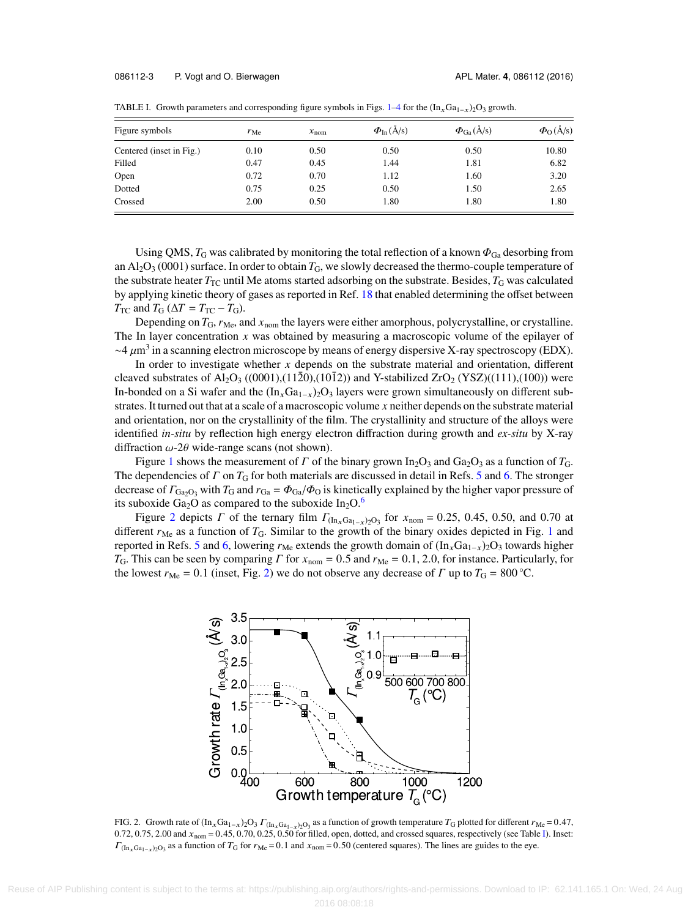| Figure symbols           | $r_{\text{Me}}$ | $x_{\text{nom}}$ | $\Phi_{\text{In}}(\AA/\text{s})$ | $\Phi_{Ga}(\AA/s)$ | $\Phi_{\Omega}(\AA/\text{s})$ |
|--------------------------|-----------------|------------------|----------------------------------|--------------------|-------------------------------|
| Centered (inset in Fig.) | 0.10            | 0.50             | 0.50                             | 0.50               | 10.80                         |
| Filled                   | 0.47            | 0.45             | 1.44                             | 1.81               | 6.82                          |
| Open                     | 0.72            | 0.70             | 1.12                             | 1.60               | 3.20                          |
| Dotted                   | 0.75            | 0.25             | 0.50                             | 1.50               | 2.65                          |
| Crossed                  | 2.00            | 0.50             | 1.80                             | 1.80               | 1.80                          |

<span id="page-3-0"></span>TABLE I. Growth parameters and corresponding figure symbols in Figs. [1](#page-2-0)[–4](#page-5-0) for the  $(\text{In}_x\text{Ga}_{1-x})_2\text{O}_3$  growth.

Using QMS,  $T_G$  was calibrated by monitoring the total reflection of a known  $\Phi_{Ga}$  desorbing from an  $Al_2O_3$  (0001) surface. In order to obtain  $T_G$ , we slowly decreased the thermo-couple temperature of the substrate heater *T*<sub>TC</sub> until Me atoms started adsorbing on the substrate. Besides, *T*<sub>G</sub> was calculated by applying kinetic theory of gases as reported in Ref. [18](#page-6-14) that enabled determining the offset between  $T_{TC}$  and  $T_G$  ( $\Delta T = T_{TC} - T_G$ ).

Depending on  $T_G$ ,  $r_{Me}$ , and  $x_{nom}$  the layers were either amorphous, polycrystalline, or crystalline. The In layer concentration *x* was obtained by measuring a macroscopic volume of the epilayer of  $\sim$ 4  $\mu$ m<sup>3</sup> in a scanning electron microscope by means of energy dispersive X-ray spectroscopy (EDX).<br>In order to investigate whether x depends on the substrate material and orientation different

In order to investigate whether *x* depends on the substrate material and orientation, different cleaved substrates of Al<sub>2</sub>O<sub>3</sub> ((0001),(112<sup>0</sup>0),(10<sup>1</sup>2)) and Y-stabilized ZrO<sub>2</sub> (YSZ)((111),(100)) were In-bonded on a Si wafer and the  $(\text{In}_x\text{Ga}_{1-x})_2\text{O}_3$  layers were grown simultaneously on different substrates. It turned out that at a scale of a macroscopic volume *x* neither depends on the substrate material and orientation, nor on the crystallinity of the film. The crystallinity and structure of the alloys were identified *in-situ* by reflection high energy electron diffraction during growth and *ex-situ* by X-ray diffraction  $\omega$ -2 $\theta$  wide-range scans (not shown).

Figure [1](#page-2-0) shows the measurement of  $\Gamma$  of the binary grown In<sub>2</sub>O<sub>3</sub> and Ga<sub>2</sub>O<sub>3</sub> as a function of  $T_{\text{G}}$ . The dependencies of  $\Gamma$  on  $T_G$  for both materials are discussed in detail in Refs. [5](#page-6-13) and [6.](#page-6-12) The stronger decrease of  $\Gamma_{\text{Ga}_2\text{O}_3}$  with  $T_G$  and  $r_{Ga} = \Phi_{Ga}/\Phi_{O}$  is kinetically explained by the higher vapor pressure of its suboxide Ga<sub>2</sub>O as compared to the suboxide  $In_2O<sup>6</sup>$  $In_2O<sup>6</sup>$  $In_2O<sup>6</sup>$ 

Figure [2](#page-3-1) depicts *Γ* of the ternary film  $\Gamma_{(\text{In}_x\text{Ga}_{1-x})2\text{O}_3}$  for  $x_{\text{nom}} = 0.25$ , 0.45, 0.50, and 0.70 at different  $r_{\text{Me}}$  as a function of  $T_{\text{G}}$ . Similar to the growth of the binary oxides depicted in Fig. [1](#page-2-0) and reported in Refs. [5](#page-6-13) and [6,](#page-6-12) lowering  $r_{\text{Me}}$  extends the growth domain of  $(\text{In}_x\text{Ga}_{1-x})_2\text{O}_3$  towards higher *T*<sub>G</sub>. This can be seen by comparing *Γ* for  $x_{\text{nom}} = 0.5$  and  $r_{\text{Me}} = 0.1, 2.0$ , for instance. Particularly, for the lowest  $r_{\text{Me}} = 0.1$  (inset, Fig. [2\)](#page-3-1) we do not observe any decrease of  $\Gamma$  up to  $T_{\text{G}} = 800 \degree \text{C}$ .

<span id="page-3-1"></span>

FIG. 2. Growth rate of  $(\text{In}_x\text{Ga}_{1-x})_2\text{O}_3$   $\Gamma_{(\text{In}_x\text{Ga}_{1-x})_2\text{O}_3}$  as a function of growth temperature  $T_G$  plotted for different  $r_{\text{Me}} = 0.47$ ,  $0.72, 0.75, 2, 00$  and  $x = -0.45, 0.70, 0.25, 0.50$  for filled o 0.72, 0.75, 2.00 and  $x_{\text{nom}} = 0.45$ , 0.70, 0.25, 0.50 for filled, open, dotted, and crossed squares, respectively (see Table [I\)](#page-3-0). Inset:  $\Gamma_{(\text{In}_x\text{Ga}_{1-x})_2\text{O}_3}$  as a function of  $T_\text{G}$  for  $r_\text{Me} = 0.1$  and  $x_\text{nom} = 0.50$  (centered squares). The lines are guides to the eye.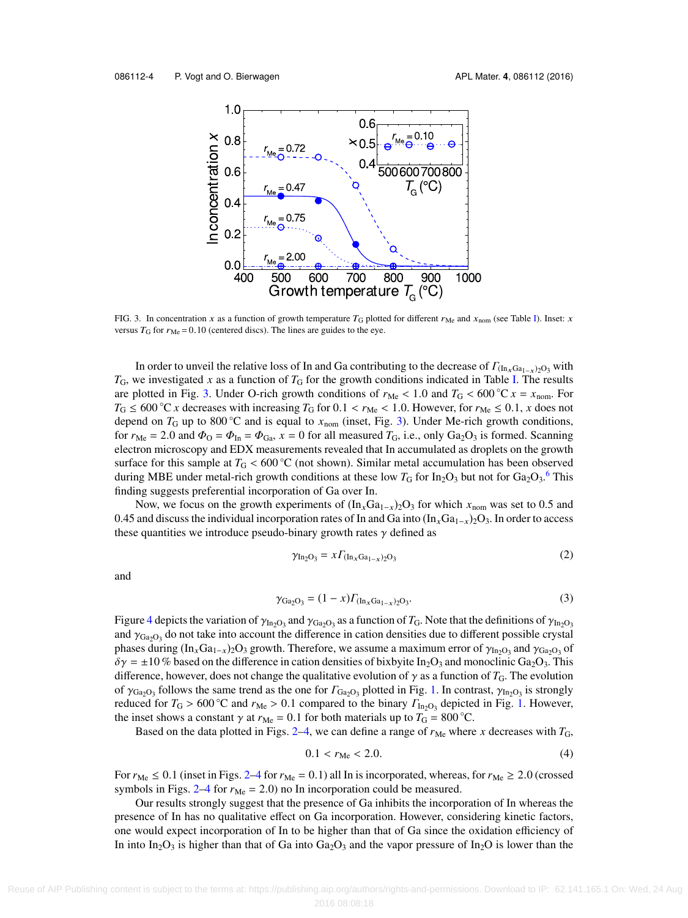<span id="page-4-0"></span>

FIG. 3. In concentration x as a function of growth temperature  $T_G$  plotted for different  $r_{Me}$  and  $x_{nom}$  (see Table [I\)](#page-3-0). Inset: x versus  $T_{\text{G}}$  for  $r_{\text{Me}} = 0.10$  (centered discs). The lines are guides to the eye.

In order to unveil the relative loss of In and Ga contributing to the decrease of  $\Gamma_{(\text{In}_x\text{Ga}_{1-x})\text{O}_3}$  with  $T_G$ , we investigated *x* as a function of  $T_G$  for the growth conditions indicated in Table [I.](#page-3-0) The results are plotted in Fig. [3.](#page-4-0) Under O-rich growth conditions of  $r_{Me} < 1.0$  and  $T_G < 600 °C x = x_{nom}$ . For  $T_G \le 600^\circ \text{C}$  *x* decreases with increasing  $T_G$  for 0.1 <  $r_{\text{Me}}$  < 1.0. However, for  $r_{\text{Me}} \le 0.1$ , *x* does not depend on  $T_G$  up to 800 °C and is equal to  $x_{\text{nom}}$  (inset, Fig. [3\)](#page-4-0). Under Me-rich growth conditions, for  $r_{\text{Me}} = 2.0$  and  $\Phi_{\text{O}} = \Phi_{\text{In}} = \Phi_{\text{Ga}}$ ,  $x = 0$  for all measured  $T_{\text{G}}$ , i.e., only Ga<sub>2</sub>O<sub>3</sub> is formed. Scanning electron microscopy and EDX measurements revealed that In accumulated as droplets on the growth surface for this sample at  $T_G < 600\degree\text{C}$  (not shown). Similar metal accumulation has been observed during MBE under metal-rich growth conditions at these low  $T_G$  for  $In_2O_3$  but not for  $Ga_2O_3$ .<sup>[6](#page-6-12)</sup> This finding suggests preferential incorporation of Ga over In.

Now, we focus on the growth experiments of  $(In_xGa_{1-x})_2O_3$  for which  $x_{\text{nom}}$  was set to 0.5 and 0.45 and discuss the individual incorporation rates of In and Ga into  $(\text{In}_x\text{Ga}_{1-x})_2\text{O}_3$ . In order to access these quantities we introduce pseudo-binary growth rates  $\gamma$  defined as

$$
\gamma_{\text{In}_2\text{O}_3} = x \Gamma_{(\text{In}_x\text{Ga}_{1-x})_2\text{O}_3} \tag{2}
$$

and

$$
\gamma_{Ga_2O_3} = (1 - x) \Gamma_{(\text{In}_x \text{Ga}_{1-x})_2O_3}.
$$
 (3)

Figure [4](#page-5-0) depicts the variation of  $\gamma_{\text{In}_2\text{O}_3}$  and  $\gamma_{\text{Ga}_2\text{O}_3}$  as a function of  $T_G$ . Note that the definitions of  $\gamma_{\text{In}_2\text{O}_3}$ <br>and  $\gamma_{\text{Ga}_2\text{O}_3}$  do not take into account the difference in cation d and  $\gamma_{Ga_2O_3}$  do not take into account the difference in cation densities due to different possible crystal<br>phases during (In Ga., )-O<sub>2</sub> growth. Therefore, we assume a maximum error of  $\alpha$ , and  $\alpha$  a of phases during  $(\text{In}_x \text{Ga}_{1-x})_2 \text{O}_3$  growth. Therefore, we assume a maximum error of  $\gamma_{\text{In}_2\text{O}_3}$  and  $\gamma_{\text{Ga}_2\text{O}_3}$  of  $\delta \gamma = +10$  % based on the difference in cation densities of bix hyite In-O<sub>2</sub> and monocli  $\delta \gamma = \pm 10\%$  based on the difference in cation densities of bixbyite In<sub>2</sub>O<sub>3</sub> and monoclinic Ga<sub>2</sub>O<sub>3</sub>. This difference, however, does not change the qualitative evolution of  $\gamma$  as a function of *T*<sub>G</sub>. The evolution of  $\gamma_{Ga_2O_3}$  follows the same trend as the one for  $\Gamma_{Ga_2O_3}$  plotted in Fig. [1.](#page-2-0) In contrast,  $\gamma_{In_2O_3}$  is strongly reduced for  $T_c > 600 \degree$ C and  $r_M > 0.1$  compared to the binary  $F_s$  or depicted in Fig. 1. However reduced for  $T_G > 600$  °C and  $r_{Me} > 0.1$  compared to the binary  $\Gamma_{\text{In}_2\text{O}_3}$  depicted in Fig. [1.](#page-2-0) However, the inset shows a constant  $\alpha$  at  $r_{Me} = 0.1$  for both materials up to  $T_G = 800$  °C the inset shows a constant  $\gamma$  at  $r_{\text{Me}} = 0.1$  for both materials up to  $T_{\text{G}} = 800 \degree \text{C}$ .

Based on the data plotted in Figs. [2](#page-3-1)[–4,](#page-5-0) we can define a range of  $r_{Me}$  where x decreases with  $T_G$ ,

$$
0.1 < r_{\rm Me} < 2.0. \tag{4}
$$

For  $r_{Me} \le 0.1$  (inset in Figs. [2–](#page-3-1)[4](#page-5-0) for  $r_{Me} = 0.1$ ) all In is incorporated, whereas, for  $r_{Me} \ge 2.0$  (crossed symbols in Figs.  $2-4$  $2-4$  for  $r_{Me} = 2.0$ ) no In incorporation could be measured.

Our results strongly suggest that the presence of Ga inhibits the incorporation of In whereas the presence of In has no qualitative effect on Ga incorporation. However, considering kinetic factors, one would expect incorporation of In to be higher than that of Ga since the oxidation efficiency of In into In<sub>2</sub>O<sub>3</sub> is higher than that of Ga into Ga<sub>2</sub>O<sub>3</sub> and the vapor pressure of In<sub>2</sub>O is lower than the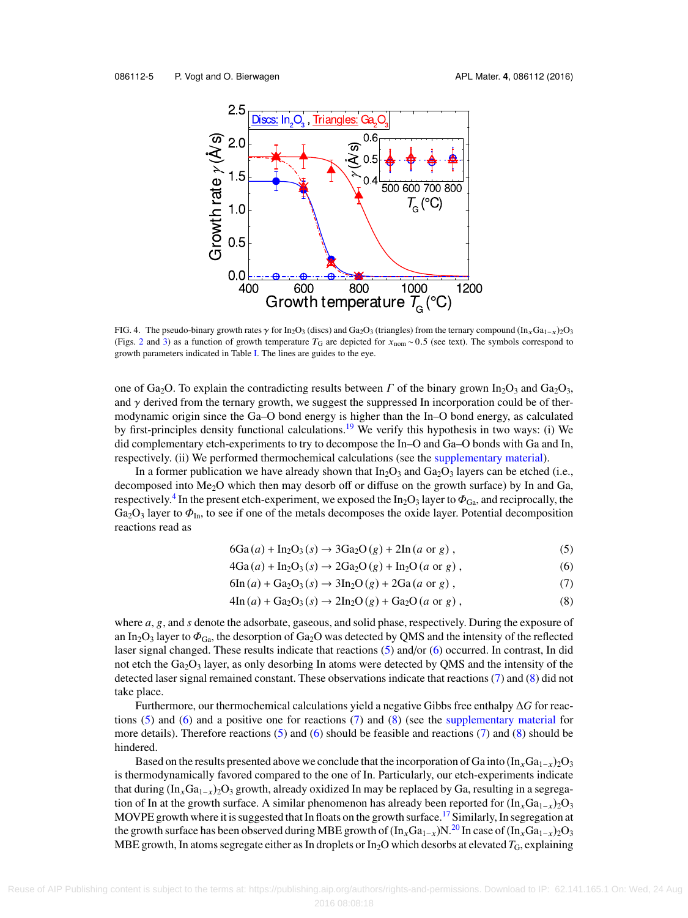<span id="page-5-0"></span>

FIG. 4. The pseudo-binary growth rates  $\gamma$  for In<sub>2</sub>O<sub>3</sub> (discs) and Ga<sub>2</sub>O<sub>3</sub> (triangles) from the ternary compound (In<sub>x</sub>Ga<sub>1−x</sub>)<sub>2</sub>O<sub>3</sub> (Figs. [2](#page-3-1) and [3\)](#page-4-0) as a function of growth temperature  $T_G$  are depicted for  $x_{\text{nom}}$  ~ 0.5 (see text). The symbols correspond to growth parameters indicated in Table [I.](#page-3-0) The lines are guides to the eye.

one of Ga<sub>2</sub>O. To explain the contradicting results between  $\Gamma$  of the binary grown In<sub>2</sub>O<sub>3</sub> and Ga<sub>2</sub>O<sub>3</sub>, and  $\gamma$  derived from the ternary growth, we suggest the suppressed In incorporation could be of thermodynamic origin since the Ga–O bond energy is higher than the In–O bond energy, as calculated by first-principles density functional calculations.<sup>[19](#page-6-15)</sup> We verify this hypothesis in two ways: (i) We did complementary etch-experiments to try to decompose the In–O and Ga–O bonds with Ga and In, respectively. (ii) We performed thermochemical calculations (see the [supplementary material\)](ftp://ftp.aip.org/epaps/apl_mater/E-AMPADS-4-013608).

In a former publication we have already shown that  $In_2O_3$  and  $Ga_2O_3$  layers can be etched (i.e., decomposed into Me<sub>2</sub>O which then may desorb off or diffuse on the growth surface) by In and Ga, respectively.<sup>[4](#page-6-3)</sup> In the present etch-experiment, we exposed the In<sub>2</sub>O<sub>3</sub> layer to  $\Phi_{Ga}$ , and reciprocally, the G<sub>3</sub>O<sub>3</sub> layer to  $\Phi_{ca}$ , and reciprocally, the  $Ga_2O_3$  layer to  $\Phi_{\text{In}}$ , to see if one of the metals decomposes the oxide layer. Potential decomposition reactions read as

<span id="page-5-1"></span>
$$
6Ga(a) + In2O3(s) \rightarrow 3Ga2O(g) + 2In(a or g),
$$
\n
$$
4Ga(a) + A_2O(a) + 3Ga_2O(a) + 1, G_2(a) \rightarrow 3Ga_2O(a)
$$

<span id="page-5-2"></span>
$$
4Ga(a) + In2O3(s) \rightarrow 2Ga2O(g) + In2O(a or g),
$$
\n(6)

$$
6\text{In}(a) + \text{Ga}_2\text{O}_3(s) \rightarrow 3\text{In}_2\text{O}(g) + 2\text{Ga}(a \text{ or } g) , \tag{7}
$$

<span id="page-5-4"></span><span id="page-5-3"></span>
$$
4\text{In}(a) + \text{Ga}_2\text{O}_3(s) \rightarrow 2\text{In}_2\text{O}(g) + \text{Ga}_2\text{O}(a \text{ or } g) ,\tag{8}
$$

where *<sup>a</sup>*, g, and *<sup>s</sup>* denote the adsorbate, gaseous, and solid phase, respectively. During the exposure of an In<sub>2</sub>O<sub>3</sub> layer to  $\Phi_{Ga}$ , the desorption of Ga<sub>2</sub>O was detected by QMS and the intensity of the reflected laser signal changed. These results indicate that reactions [\(5\)](#page-5-1) and/or [\(6\)](#page-5-2) occurred. In contrast, In did not etch the  $Ga_2O_3$  layer, as only desorbing In atoms were detected by QMS and the intensity of the detected laser signal remained constant. These observations indicate that reactions [\(7\)](#page-5-3) and [\(8\)](#page-5-4) did not take place.

Furthermore, our thermochemical calculations yield a negative Gibbs free enthalpy ∆*G* for reac-tions [\(5\)](#page-5-1) and [\(6\)](#page-5-2) and a positive one for reactions [\(7\)](#page-5-3) and [\(8\)](#page-5-4) (see the [supplementary material](ftp://ftp.aip.org/epaps/apl_mater/E-AMPADS-4-013608) for more details). Therefore reactions [\(5\)](#page-5-1) and [\(6\)](#page-5-2) should be feasible and reactions [\(7\)](#page-5-3) and [\(8\)](#page-5-4) should be hindered.

Based on the results presented above we conclude that the incorporation of Ga into  $(\ln_xGa_{1-x})_2O_3$ is thermodynamically favored compared to the one of In. Particularly, our etch-experiments indicate that during  $(\text{In}_x\text{Ga}_{1-x})_2\text{O}_3$  growth, already oxidized In may be replaced by Ga, resulting in a segregation of In at the growth surface. A similar phenomenon has already been reported for  $(\text{In}_x\text{Ga}_{1-x})_2\text{O}_3$ MOVPE growth where it is suggested that In floats on the growth surface.<sup>[17](#page-6-11)</sup> Similarly, In segregation at the growth surface has been observed during MBE growth of  $(\ln_xGa_{1-x})N^{20}$  $(\ln_xGa_{1-x})N^{20}$  $(\ln_xGa_{1-x})N^{20}$  In case of  $(\ln_xGa_{1-x})2O_3$ MBE growth, In atoms segregate either as In droplets or In<sub>2</sub>O which desorbs at elevated T<sub>G</sub>, explaining